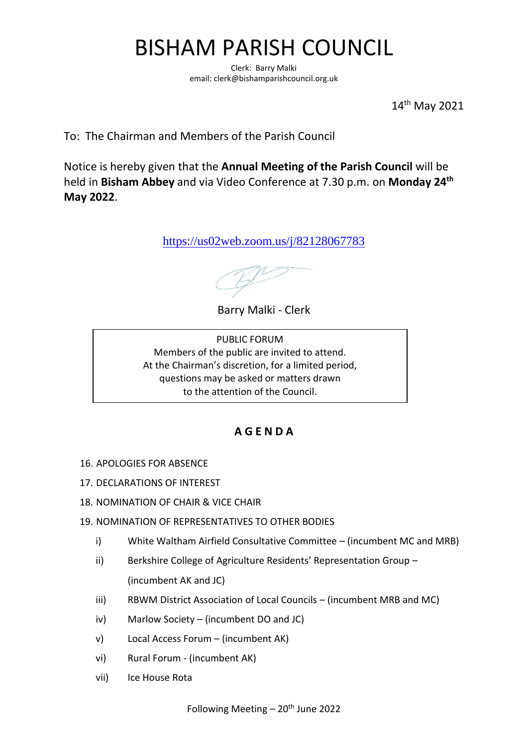## BISHAM PARISH COUNCIL

Clerk: Barry Malki email: clerk@bishamparishcouncil.org.uk

14 th May 2021

To: The Chairman and Members of the Parish Council

Notice is hereby given that the **Annual Meeting of the Parish Council** will be held in **Bisham Abbey** and via Video Conference at 7.30 p.m. on **Monday 24th May 2022**.

<https://us02web.zoom.us/j/82128067783>

Barry Malki - Clerk

PUBLIC FORUM Members of the public are invited to attend. At the Chairman's discretion, for a limited period, questions may be asked or matters drawn to the attention of the Council.

## **A G E N D A**

- 16. APOLOGIES FOR ABSENCE
- 17. DECLARATIONS OF INTEREST
- 18. NOMINATION OF CHAIR & VICE CHAIR
- 19. NOMINATION OF REPRESENTATIVES TO OTHER BODIES
	- i) White Waltham Airfield Consultative Committee (incumbent MC and MRB)
	- ii) Berkshire College of Agriculture Residents' Representation Group (incumbent AK and JC)
	- iii) RBWM District Association of Local Councils (incumbent MRB and MC)
	- iv) Marlow Society (incumbent DO and JC)
	- v) Local Access Forum (incumbent AK)
	- vi) Rural Forum (incumbent AK)
	- vii) Ice House Rota